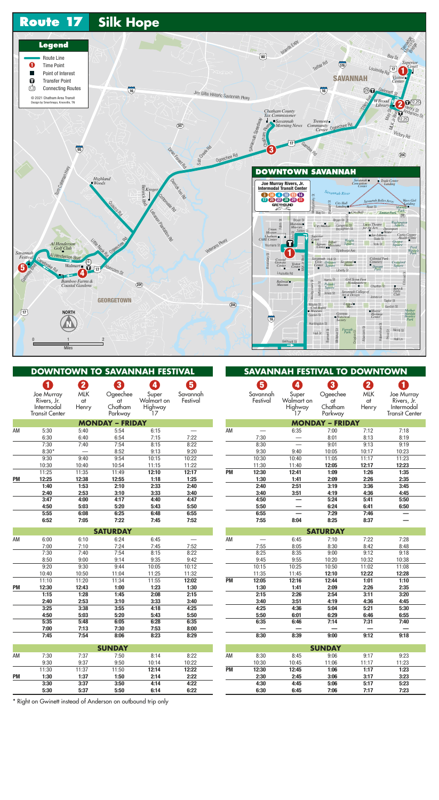

|           | DOWNTOWN TO SAVANNAH FESTIVAL                             |                                |                                                      |                                           |                           |
|-----------|-----------------------------------------------------------|--------------------------------|------------------------------------------------------|-------------------------------------------|---------------------------|
|           | Joe Murray<br>Rivers, Jr.<br>Intermodal<br>Transit Center | 2<br><b>MLK</b><br>at<br>Henry | $\mathbf{3}$<br>Ogeechee<br>at<br>Chatham<br>Parkway | 0<br>Super<br>Walmart on<br>Highway<br>17 | 5<br>Savannah<br>Festival |
|           |                                                           |                                | <b>MONDAY - FRIDAY</b>                               |                                           |                           |
| AM        | 5:30                                                      | 5:40                           | 5:54                                                 | 6:15                                      |                           |
|           | 6:30                                                      | 6:40                           | 6:54                                                 | 7:15                                      | 7:22                      |
|           | 7:30                                                      | 7:40                           | 7:54                                                 | 8:15                                      | 8:22                      |
|           | $8:30*$                                                   |                                | 8:52                                                 | 9:13                                      | 9:20                      |
|           | 9:30<br>10:30                                             | 9:40<br>10:40                  | 9:54<br>10:54                                        | 10:15                                     | 10:22<br>11:22            |
|           | 11:25                                                     | 11:35                          | 11:49                                                | 11:15<br>12:10                            | 12:17                     |
| <b>PM</b> | 12:25                                                     | 12:38                          | 12:55                                                | 1:18                                      | 1:25                      |
|           | 1:40                                                      | 1:53                           | 2:10                                                 | 2:33                                      | 2:40                      |
|           | 2:40                                                      | 2:53                           | 3:10                                                 | 3:33                                      | 3:40                      |
|           | 3:47                                                      | 4:00                           | 4:17                                                 | 4:40                                      | 4:47                      |
|           | 4:50                                                      | 5:03                           | 5:20                                                 | 5:43                                      | 5:50                      |
|           | 5:55                                                      | 6:08                           | 6:25                                                 | 6:48                                      | 6:55                      |
|           | 6:52                                                      | 7:05                           | 7:22                                                 | 7:45                                      | 7:52                      |
|           |                                                           |                                | <b>SATURDAY</b>                                      |                                           |                           |
| AM        | 6:00                                                      | 6:10                           | 6:24                                                 | 6:45                                      |                           |
|           | 7:00                                                      | 7:10                           | 7:24                                                 | 7:45                                      | 7:52                      |
|           | 7:30                                                      | 7:40                           | 7:54                                                 | 8:15                                      | 8:22                      |
|           | 8:50                                                      | 9:00                           | 9:14                                                 | 9:35                                      | 9:42                      |
|           | 9:20                                                      | 9:30                           | 9:44                                                 | 10:05                                     | 10:12                     |
|           | 10:40                                                     | 10:50                          | 11:04                                                | 11:25                                     | 11:32                     |
|           | 11:10                                                     | 11:20                          | 11:34                                                | 11:55                                     | 12:02                     |
| <b>PM</b> | 12:30                                                     | 12:43                          | 1:00                                                 | 1:23                                      | 1:30                      |
|           | 1:15                                                      | 1:28                           | 1:45                                                 | 2:08                                      | 2:15                      |
|           | 2:40                                                      | 2:53                           | 3:10                                                 | 3:33                                      | 3:40                      |
|           | 3:25                                                      | 3:38                           | 3:55                                                 | 4:18                                      | 4:25                      |
|           | 4:50                                                      | 5:03                           | 5:20                                                 | 5:43                                      | 5:50                      |
|           | 5:35                                                      | 5:48                           | 6:05                                                 | 6:28                                      | 6:35                      |
|           | 7:00                                                      | 7:13                           | 7:30                                                 | 7:53                                      | 8:00                      |
|           | 7:45                                                      | 7:54                           | 8:06                                                 | 8:23                                      | 8:29                      |
|           |                                                           |                                | <b>SUNDAY</b>                                        |                                           |                           |
| AM        | 7:30                                                      | 7:37                           | 7:50                                                 | 8:14                                      | 8:22                      |
|           | 9:30                                                      | 9:37                           | 9:50                                                 | 10:14                                     | 10:22                     |
|           | 11:30                                                     | 11:37                          | 11:50                                                | 12:14                                     | 12:22                     |
| PM        | 1:30                                                      | 1:37                           | 1:50                                                 | 2:14                                      | 2:22                      |
|           | 3:30                                                      | 3:37                           | 3:50                                                 | 4:14                                      | 4:22                      |
|           | 5:30                                                      | 5:37                           | 5:50                                                 | 6:14                                      | 6:22                      |

|           |               | SAVANNAH FESTIVAL TO DOWNTOWN |                        |                |                       |
|-----------|---------------|-------------------------------|------------------------|----------------|-----------------------|
|           | 5             | $\overline{\mathbf{4}}$       | 3                      | 2              |                       |
|           | Savannah      | Super                         | Ogeechee               | <b>MLK</b>     | Joe Murray            |
|           | Festival      | Walmart on                    | at                     | at             | Rivers, Jr.           |
|           |               | Highway                       | Chatham                | Henry          | Intermodal            |
|           |               | 17                            | Parkway                |                | <b>Transit Center</b> |
|           |               |                               | <b>MONDAY - FRIDAY</b> |                |                       |
| AM        |               | 6:35                          | 7:00                   | 7:12           | 7:18                  |
|           | 7:30          |                               | 8:01                   | 8:13           | 8:19                  |
|           | 8:30          |                               | 9:01                   | 9:13           | 9:19                  |
|           | 9:30<br>10:30 | 9:40<br>10:40                 | 10:05                  | 10:17<br>11:17 | 10:23                 |
|           | 11:30         | 11:40                         | 11:05<br>12:05         | 12:17          | 11:23<br>12:23        |
| <b>PM</b> | 12:30         | 12:41                         | 1:09                   | 1:26           | 1:35                  |
|           | 1:30          | 1:41                          | 2:09                   | 2:26           | 2:35                  |
|           | 2:40          | 2:51                          | 3:19                   | 3:36           | 3:45                  |
|           | 3:40          | 3:51                          | 4:19                   | 4:36           | 4:45                  |
|           | 4:50          |                               | 5:24                   | 5:41           | 5:50                  |
|           | 5:50          |                               | 6:24                   | 6:41           | 6:50                  |
|           | 6:55          |                               | 7:29                   | 7:46           |                       |
|           | 7:55          | 8:04                          | 8:25                   | 8:37           |                       |
|           |               |                               | <b>SATURDAY</b>        |                |                       |
| AM        |               | 6:45                          | 7:10                   | 7:22           | 7:28                  |
|           | 7:55          | 8:05                          | 8:30                   | 8:42           | 8:48                  |
|           | 8:25          | 8:35                          | 9:00                   | 9:12           | 9:18                  |
|           | 9:45          | 9:55                          | 10:20                  | 10:32          | 10:38                 |
|           | 10:15         | 10:25                         | 10:50                  | 11:02          | 11:08                 |
|           | 11:35         | 11:45                         | 12:10                  | 12:22          | 12:28                 |
| <b>PM</b> | 12:05         | 12:16                         | 12:44                  | 1:01           | 1:10                  |
|           | 1:30          | 1:41                          | 2:09                   | 2:26           | 2:35                  |
|           | 2:15          | 2:26                          | 2:54                   | 3:11           | 3:20                  |
|           | 3:40          | 3:51                          | 4:19                   | 4:36           | 4:45                  |
|           | 4:25          | 4:36                          | 5:04                   | 5:21           | 5:30                  |
|           | 5:50<br>6:35  | 6:01<br>6:46                  | 6:29<br>7:14           | 6:46<br>7:31   | 6:55<br>7:40          |
|           |               |                               |                        |                |                       |
|           | 8:30          | 8:39                          | 9:00                   | 9:12           | 9:18                  |
|           |               |                               | <b>SUNDAY</b>          |                |                       |
| AM        | 8:30          | 8:45                          | 9:06                   | 9:17           | 9:23                  |
|           | 10:30         | 10:45                         | 11:06                  | 11:17          | 11:23                 |
| <b>PM</b> | 12:30         | 12:45                         | 1:06                   | 1:17           | 1:23                  |
|           | 2:30          | 2:45                          | 3:06                   | 3:17           | 3:23                  |
|           | 4:30          | 4:45                          | 5:06                   | 5:17           | 5:23                  |
|           | 6:30          | 6:45                          | 7:06                   | 7:17           | 7:23                  |

\* Right on Gwinett instead of Anderson on outbound trip only